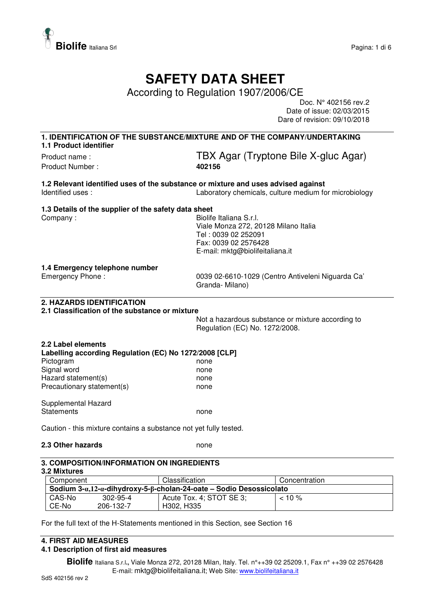

## **SAFETY DATA SHEET**

According to Regulation 1907/2006/CE

Doc. N° 402156 rev.2 Date of issue: 02/03/2015 Dare of revision: 09/10/2018

#### **1. IDENTIFICATION OF THE SUBSTANCE/MIXTURE AND OF THE COMPANY/UNDERTAKING 1.1 Product identifier**

Product Number : **402156** 

# Product name : TBX Agar (Tryptone Bile X-gluc Agar)

**1.2 Relevant identified uses of the substance or mixture and uses advised against**  Identified uses : Laboratory chemicals, culture medium for microbiology

#### **1.3 Details of the supplier of the safety data sheet**

Company : Company : Georgia Company : Company : Georgia Company : Georgia Company : Georgia Company : Georgia Company in the Biolife Italiana S.r.l. Viale Monza 272, 20128 Milano Italia Tel : 0039 02 252091 Fax: 0039 02 2576428 E-mail: mktg@biolifeitaliana.it

#### **1.4 Emergency telephone number**

Emergency Phone : 0039 02-6610-1029 (Centro Antiveleni Niguarda Ca' Granda- Milano)

#### **2. HAZARDS IDENTIFICATION**

#### **2.1 Classification of the substance or mixture**

Not a hazardous substance or mixture according to Regulation (EC) No. 1272/2008.

#### **2.2 Label elements Labelling according Regulation (EC) No 1272/2008 [CLP]**  Pictogram none none Signal word none none Hazard statement(s) none Precautionary statement(s) none Supplemental Hazard

Statements none

Caution - this mixture contains a substance not yet fully tested.

#### **2.3 Other hazards** none

#### **3. COMPOSITION/INFORMATION ON INGREDIENTS**

| 3.2 Mixtures                                                                  |                |                          |               |  |
|-------------------------------------------------------------------------------|----------------|--------------------------|---------------|--|
| Component                                                                     |                | <b>Classification</b>    | Concentration |  |
| Sodium $3-a,12-a$ -dihydroxy-5- $\beta$ -cholan-24-oate – Sodio Desossicolato |                |                          |               |  |
| CAS-No                                                                        | $302 - 95 - 4$ | Acute Tox. 4; STOT SE 3; | $10\%$        |  |
| CE-No                                                                         | 206-132-7      | H302. H335               |               |  |

For the full text of the H-Statements mentioned in this Section, see Section 16

### **4. FIRST AID MEASURES**

#### **4.1 Description of first aid measures**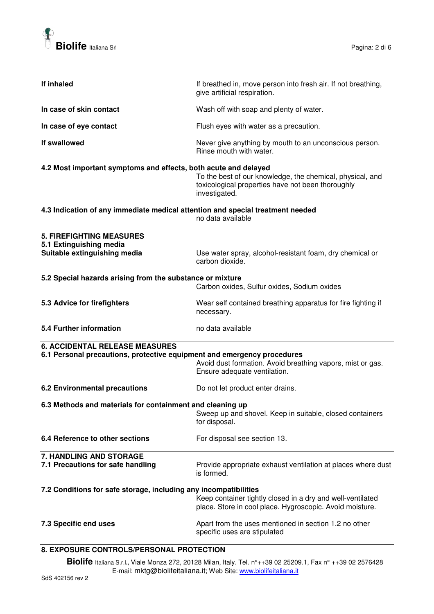

| If inhaled                                                                                                                                                                                                     | If breathed in, move person into fresh air. If not breathing,<br>give artificial respiration.                                   |
|----------------------------------------------------------------------------------------------------------------------------------------------------------------------------------------------------------------|---------------------------------------------------------------------------------------------------------------------------------|
| In case of skin contact                                                                                                                                                                                        | Wash off with soap and plenty of water.                                                                                         |
| In case of eye contact                                                                                                                                                                                         | Flush eyes with water as a precaution.                                                                                          |
| If swallowed                                                                                                                                                                                                   | Never give anything by mouth to an unconscious person.<br>Rinse mouth with water.                                               |
| 4.2 Most important symptoms and effects, both acute and delayed                                                                                                                                                | To the best of our knowledge, the chemical, physical, and<br>toxicological properties have not been thoroughly<br>investigated. |
| 4.3 Indication of any immediate medical attention and special treatment needed                                                                                                                                 | no data available                                                                                                               |
| <b>5. FIREFIGHTING MEASURES</b>                                                                                                                                                                                |                                                                                                                                 |
| 5.1 Extinguishing media<br>Suitable extinguishing media                                                                                                                                                        | Use water spray, alcohol-resistant foam, dry chemical or<br>carbon dioxide.                                                     |
| 5.2 Special hazards arising from the substance or mixture                                                                                                                                                      | Carbon oxides, Sulfur oxides, Sodium oxides                                                                                     |
| 5.3 Advice for firefighters                                                                                                                                                                                    | Wear self contained breathing apparatus for fire fighting if<br>necessary.                                                      |
| 5.4 Further information                                                                                                                                                                                        | no data available                                                                                                               |
| <b>6. ACCIDENTAL RELEASE MEASURES</b><br>6.1 Personal precautions, protective equipment and emergency procedures<br>Avoid dust formation. Avoid breathing vapors, mist or gas.<br>Ensure adequate ventilation. |                                                                                                                                 |
| <b>6.2 Environmental precautions</b>                                                                                                                                                                           | Do not let product enter drains.                                                                                                |
| 6.3 Methods and materials for containment and cleaning up                                                                                                                                                      |                                                                                                                                 |
|                                                                                                                                                                                                                | Sweep up and shovel. Keep in suitable, closed containers<br>for disposal.                                                       |
| 6.4 Reference to other sections                                                                                                                                                                                | For disposal see section 13.                                                                                                    |
| 7. HANDLING AND STORAGE                                                                                                                                                                                        |                                                                                                                                 |
| 7.1 Precautions for safe handling                                                                                                                                                                              | Provide appropriate exhaust ventilation at places where dust<br>is formed.                                                      |
| 7.2 Conditions for safe storage, including any incompatibilities<br>Keep container tightly closed in a dry and well-ventilated<br>place. Store in cool place. Hygroscopic. Avoid moisture.                     |                                                                                                                                 |
| 7.3 Specific end uses                                                                                                                                                                                          | Apart from the uses mentioned in section 1.2 no other<br>specific uses are stipulated                                           |
| 8. EXPOSURE CONTROLS/PERSONAL PROTECTION                                                                                                                                                                       |                                                                                                                                 |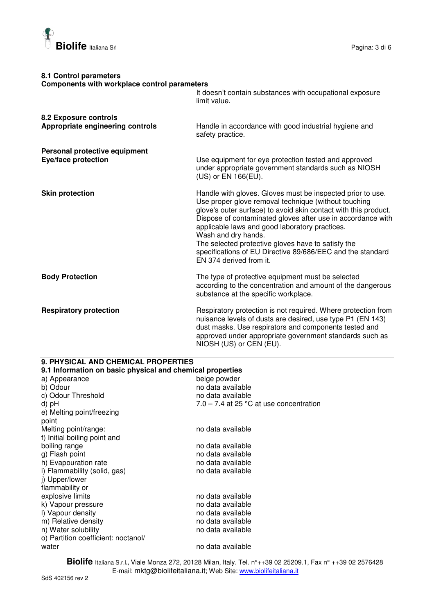

#### **8.1 Control parameters Components with workplace control parameters**  It doesn't contain substances with occupational exposure limit value. **8.2 Exposure controls Appropriate engineering controls** Handle in accordance with good industrial hygiene and safety practice. **Personal protective equipment Eye/face protection Letter and EVE/face protection** Use equipment for eye protection tested and approved under appropriate government standards such as NIOSH (US) or EN 166(EU). **Skin protection Handle with gloves. Gloves must be inspected prior to use.** Handle with gloves. Gloves must be inspected prior to use. Use proper glove removal technique (without touching glove's outer surface) to avoid skin contact with this product. Dispose of contaminated gloves after use in accordance with applicable laws and good laboratory practices. Wash and dry hands. The selected protective gloves have to satisfy the specifications of EU Directive 89/686/EEC and the standard EN 374 derived from it. **Body Protection The type of protective equipment must be selected** according to the concentration and amount of the dangerous substance at the specific workplace. **Respiratory protection <b>Respiratory** Protection is not required. Where protection from nuisance levels of dusts are desired, use type P1 (EN 143) dust masks. Use respirators and components tested and approved under appropriate government standards such as NIOSH (US) or CEN (EU).

| <b>9. PHYSICAL AND CHEMICAL PROPERTIES</b>                |                                           |  |  |  |
|-----------------------------------------------------------|-------------------------------------------|--|--|--|
| 9.1 Information on basic physical and chemical properties |                                           |  |  |  |
| a) Appearance                                             | beige powder                              |  |  |  |
| b) Odour                                                  | no data available                         |  |  |  |
| c) Odour Threshold                                        | no data available                         |  |  |  |
| d) pH                                                     | $7.0 - 7.4$ at 25 °C at use concentration |  |  |  |
| e) Melting point/freezing                                 |                                           |  |  |  |
| point                                                     |                                           |  |  |  |
| Melting point/range:                                      | no data available                         |  |  |  |
| f) Initial boiling point and                              |                                           |  |  |  |
| boiling range                                             | no data available                         |  |  |  |
| g) Flash point                                            | no data available                         |  |  |  |
| h) Evapouration rate                                      | no data available                         |  |  |  |
| i) Flammability (solid, gas)                              | no data available                         |  |  |  |
| j) Upper/lower                                            |                                           |  |  |  |
| flammability or                                           |                                           |  |  |  |
| explosive limits                                          | no data available                         |  |  |  |
| k) Vapour pressure                                        | no data available                         |  |  |  |
| I) Vapour density                                         | no data available                         |  |  |  |
| m) Relative density                                       | no data available                         |  |  |  |
| n) Water solubility                                       | no data available                         |  |  |  |
| o) Partition coefficient: noctanol/                       |                                           |  |  |  |
| water                                                     | no data available                         |  |  |  |
|                                                           |                                           |  |  |  |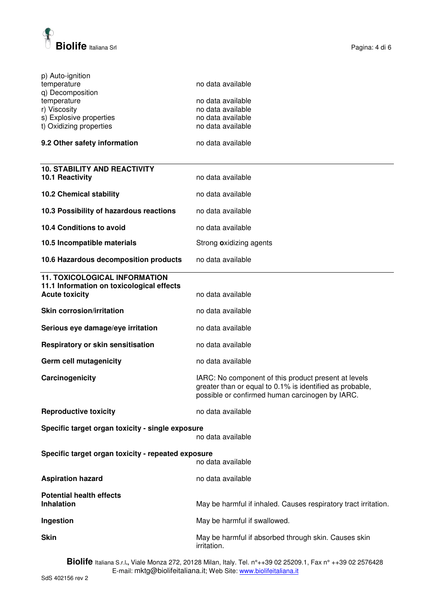

| p) Auto-ignition<br>temperature                    | no data available                                                                                                                                                   |
|----------------------------------------------------|---------------------------------------------------------------------------------------------------------------------------------------------------------------------|
| q) Decomposition                                   |                                                                                                                                                                     |
| temperature                                        | no data available                                                                                                                                                   |
| r) Viscosity                                       | no data available                                                                                                                                                   |
| s) Explosive properties                            | no data available                                                                                                                                                   |
| t) Oxidizing properties                            | no data available                                                                                                                                                   |
|                                                    |                                                                                                                                                                     |
| 9.2 Other safety information                       | no data available                                                                                                                                                   |
| <b>10. STABILITY AND REACTIVITY</b>                |                                                                                                                                                                     |
| 10.1 Reactivity                                    | no data available                                                                                                                                                   |
| <b>10.2 Chemical stability</b>                     | no data available                                                                                                                                                   |
| 10.3 Possibility of hazardous reactions            | no data available                                                                                                                                                   |
| 10.4 Conditions to avoid                           | no data available                                                                                                                                                   |
| 10.5 Incompatible materials                        | Strong oxidizing agents                                                                                                                                             |
| 10.6 Hazardous decomposition products              | no data available                                                                                                                                                   |
| <b>11. TOXICOLOGICAL INFORMATION</b>               |                                                                                                                                                                     |
| 11.1 Information on toxicological effects          |                                                                                                                                                                     |
| <b>Acute toxicity</b>                              | no data available                                                                                                                                                   |
| <b>Skin corrosion/irritation</b>                   | no data available                                                                                                                                                   |
| Serious eye damage/eye irritation                  | no data available                                                                                                                                                   |
| Respiratory or skin sensitisation                  | no data available                                                                                                                                                   |
| Germ cell mutagenicity                             | no data available                                                                                                                                                   |
| Carcinogenicity                                    | IARC: No component of this product present at levels<br>greater than or equal to 0.1% is identified as probable,<br>possible or confirmed human carcinogen by IARC. |
| <b>Reproductive toxicity</b>                       | no data available                                                                                                                                                   |
| Specific target organ toxicity - single exposure   |                                                                                                                                                                     |
|                                                    | no data available                                                                                                                                                   |
| Specific target organ toxicity - repeated exposure |                                                                                                                                                                     |
|                                                    | no data available                                                                                                                                                   |
| <b>Aspiration hazard</b>                           | no data available                                                                                                                                                   |
| <b>Potential health effects</b>                    |                                                                                                                                                                     |
| <b>Inhalation</b>                                  | May be harmful if inhaled. Causes respiratory tract irritation.                                                                                                     |
| Ingestion                                          | May be harmful if swallowed.                                                                                                                                        |
| <b>Skin</b>                                        | May be harmful if absorbed through skin. Causes skin<br>irritation.                                                                                                 |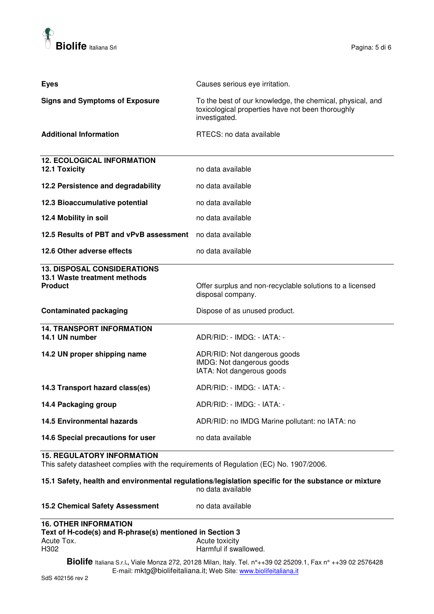

| <b>Eyes</b>                                                                          | Causes serious eye irritation.                                                                                                  |
|--------------------------------------------------------------------------------------|---------------------------------------------------------------------------------------------------------------------------------|
| <b>Signs and Symptoms of Exposure</b>                                                | To the best of our knowledge, the chemical, physical, and<br>toxicological properties have not been thoroughly<br>investigated. |
| <b>Additional Information</b>                                                        | RTECS: no data available                                                                                                        |
| <b>12. ECOLOGICAL INFORMATION</b><br>12.1 Toxicity                                   | no data available                                                                                                               |
| 12.2 Persistence and degradability                                                   | no data available                                                                                                               |
| 12.3 Bioaccumulative potential                                                       | no data available                                                                                                               |
| 12.4 Mobility in soil                                                                | no data available                                                                                                               |
| 12.5 Results of PBT and vPvB assessment                                              | no data available                                                                                                               |
| 12.6 Other adverse effects                                                           | no data available                                                                                                               |
|                                                                                      |                                                                                                                                 |
| <b>13. DISPOSAL CONSIDERATIONS</b><br>13.1 Waste treatment methods<br><b>Product</b> | Offer surplus and non-recyclable solutions to a licensed<br>disposal company.                                                   |
| <b>Contaminated packaging</b>                                                        | Dispose of as unused product.                                                                                                   |
| <b>14. TRANSPORT INFORMATION</b><br>14.1 UN number                                   | ADR/RID: - IMDG: - IATA: -                                                                                                      |
| 14.2 UN proper shipping name                                                         | ADR/RID: Not dangerous goods<br>IMDG: Not dangerous goods<br>IATA: Not dangerous goods                                          |
| 14.3 Transport hazard class(es)                                                      | ADR/RID: - IMDG: - IATA: -                                                                                                      |
| 14.4 Packaging group                                                                 | ADR/RID: - IMDG: - IATA: -                                                                                                      |
| <b>14.5 Environmental hazards</b>                                                    | ADR/RID: no IMDG Marine pollutant: no IATA: no                                                                                  |

#### **15. REGULATORY INFORMATION**

This safety datasheet complies with the requirements of Regulation (EC) No. 1907/2006.

#### **15.1 Safety, health and environmental regulations/legislation specific for the substance or mixture**  no data available

| <b>15.2 Chemical Safety Assessment</b> | no data available |
|----------------------------------------|-------------------|
|----------------------------------------|-------------------|

#### **16. OTHER INFORMATION Text of H-code(s) and R-phrase(s) mentioned in Section 3**  Acute Tox.<br>
H302 **Acute Toxicity**<br>
Harmful if swa Harmful if swallowed.